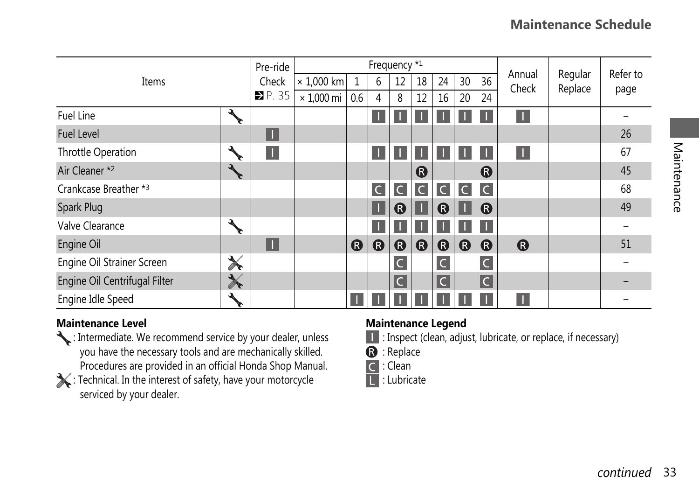| Items                                                                                                                                                                                                                                                                                                                                                                                                                                                   |                           | Frequency *1<br>Pre-ride |                   |     |              |                         |                  |                  |                       |                         |                       |                    |                  |             |  |
|---------------------------------------------------------------------------------------------------------------------------------------------------------------------------------------------------------------------------------------------------------------------------------------------------------------------------------------------------------------------------------------------------------------------------------------------------------|---------------------------|--------------------------|-------------------|-----|--------------|-------------------------|------------------|------------------|-----------------------|-------------------------|-----------------------|--------------------|------------------|-------------|--|
|                                                                                                                                                                                                                                                                                                                                                                                                                                                         |                           | Check                    | $\times$ 1,000 km | 1   | 6            | 12                      | 18               | 24               | 30                    | 36                      | Annual<br>Check       | Regular<br>Replace | Refer to<br>page |             |  |
|                                                                                                                                                                                                                                                                                                                                                                                                                                                         |                           | P.35                     | $\times$ 1,000 mi | 0.6 | 4            | 8                       | 12               | 20<br>16         |                       | 24                      |                       |                    |                  |             |  |
| Fuel Line                                                                                                                                                                                                                                                                                                                                                                                                                                               | $\mathbf{v}_{\mathbf{r}}$ |                          |                   |     | п            | т.                      |                  | п                |                       | п                       | п                     |                    |                  |             |  |
| <b>Fuel Level</b>                                                                                                                                                                                                                                                                                                                                                                                                                                       |                           | $\Box$                   |                   |     |              |                         |                  |                  |                       |                         |                       |                    | 26               |             |  |
| Throttle Operation                                                                                                                                                                                                                                                                                                                                                                                                                                      | $\frac{1}{\sqrt{2}}$      | п                        |                   |     | П            | п                       | H.               | $\mathbf{L}$     | п.                    | п                       | П                     |                    | 67               |             |  |
| Air Cleaner *2                                                                                                                                                                                                                                                                                                                                                                                                                                          | ANC                       |                          |                   |     |              |                         | ®                |                  |                       | $\bf \Omega$            |                       |                    | 45               |             |  |
| Crankcase Breather *3                                                                                                                                                                                                                                                                                                                                                                                                                                   |                           |                          |                   |     | $\mathsf{C}$ | $\mathsf C$             | C                | $\mathsf{C}$     | $\overline{C}$        | C                       |                       |                    | 68               | Maintenance |  |
| Spark Plug                                                                                                                                                                                                                                                                                                                                                                                                                                              |                           |                          |                   |     | п            | $\bf \Omega$            | п                | $\bf{Q}$         |                       | $\bf{Q}$                |                       |                    | 49               |             |  |
| Valve Clearance                                                                                                                                                                                                                                                                                                                                                                                                                                         | $\frac{1}{\sqrt{2}}$      |                          |                   |     | п            | п                       |                  | H.               |                       | П                       |                       |                    |                  |             |  |
| Engine Oil                                                                                                                                                                                                                                                                                                                                                                                                                                              |                           | п                        |                   | ®   | $\bf \Omega$ | ⊕                       | $\bf \bm \Theta$ | $\bf \bm \Theta$ | $\boldsymbol{\Omega}$ | $\boldsymbol{\Omega}$   | $\boldsymbol{\Omega}$ |                    | 51               |             |  |
| Engine Oil Strainer Screen                                                                                                                                                                                                                                                                                                                                                                                                                              | ₩                         |                          |                   |     |              | $\mathsf{C}$            |                  | $\mathsf{C}$     |                       | $\mathsf{C}$            |                       |                    |                  |             |  |
| Engine Oil Centrifugal Filter                                                                                                                                                                                                                                                                                                                                                                                                                           | $\frac{1}{\sqrt{2}}$      |                          |                   |     |              | $\overline{\mathsf{C}}$ |                  | $\overline{C}$   |                       | $\overline{\mathsf{C}}$ |                       |                    |                  |             |  |
| Engine Idle Speed                                                                                                                                                                                                                                                                                                                                                                                                                                       | $\mathbf{A}_{\mathbf{r}}$ |                          |                   |     |              |                         |                  |                  |                       |                         | п                     |                    |                  |             |  |
| <b>Maintenance Level</b><br><b>Maintenance Legend</b><br>: Intermediate. We recommend service by your dealer, unless<br>: Inspect (clean, adjust, lubricate, or replace, if necessary)<br>you have the necessary tools and are mechanically skilled.<br>: Replace<br>R<br>Procedures are provided in an official Honda Shop Manual.<br>: Clean<br>Technical. In the interest of safety, have your motorcycle<br>: Lubricate<br>serviced by your dealer. |                           |                          |                   |     |              |                         |                  |                  |                       |                         |                       |                    |                  |             |  |
|                                                                                                                                                                                                                                                                                                                                                                                                                                                         |                           |                          |                   |     |              |                         |                  |                  |                       |                         |                       |                    | continued        | 33          |  |

## **Maintenance Level**

- : Intermediate. We recommend service by your dealer, unless you have the necessary tools and are mechanically skilled. Procedures are provided in an official Honda Shop Manual.
- : Technical. In the interest of safety, have your motorcycle serviced by your dealer.

## **Maintenance Legend**

- : Inspect (clean, adjust, lubricate, or replace, if necessary) I
- $\mathbf{B}$  : Replace
- $\overline{C}$ : Clean
- П : Lubricate